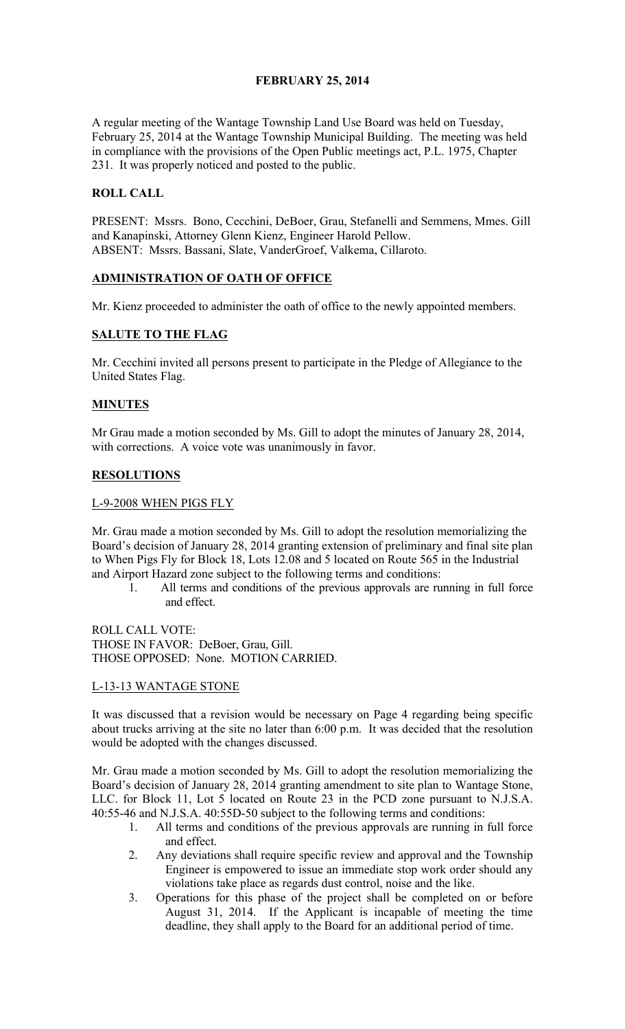## FEBRUARY 25, 2014

A regular meeting of the Wantage Township Land Use Board was held on Tuesday, February 25, 2014 at the Wantage Township Municipal Building. The meeting was held in compliance with the provisions of the Open Public meetings act, P.L. 1975, Chapter 231. It was properly noticed and posted to the public.

## ROLL CALL

PRESENT: Mssrs. Bono, Cecchini, DeBoer, Grau, Stefanelli and Semmens, Mmes. Gill and Kanapinski, Attorney Glenn Kienz, Engineer Harold Pellow. ABSENT: Mssrs. Bassani, Slate, VanderGroef, Valkema, Cillaroto.

## ADMINISTRATION OF OATH OF OFFICE

Mr. Kienz proceeded to administer the oath of office to the newly appointed members.

## SALUTE TO THE FLAG

Mr. Cecchini invited all persons present to participate in the Pledge of Allegiance to the United States Flag.

## MINUTES

Mr Grau made a motion seconded by Ms. Gill to adopt the minutes of January 28, 2014, with corrections. A voice vote was unanimously in favor.

## RESOLUTIONS

#### L-9-2008 WHEN PIGS FLY

Mr. Grau made a motion seconded by Ms. Gill to adopt the resolution memorializing the Board's decision of January 28, 2014 granting extension of preliminary and final site plan to When Pigs Fly for Block 18, Lots 12.08 and 5 located on Route 565 in the Industrial and Airport Hazard zone subject to the following terms and conditions:

1. All terms and conditions of the previous approvals are running in full force and effect.

ROLL CALL VOTE: THOSE IN FAVOR: DeBoer, Grau, Gill. THOSE OPPOSED: None. MOTION CARRIED.

#### L-13-13 WANTAGE STONE

It was discussed that a revision would be necessary on Page 4 regarding being specific about trucks arriving at the site no later than 6:00 p.m. It was decided that the resolution would be adopted with the changes discussed.

Mr. Grau made a motion seconded by Ms. Gill to adopt the resolution memorializing the Board's decision of January 28, 2014 granting amendment to site plan to Wantage Stone, LLC. for Block 11, Lot 5 located on Route 23 in the PCD zone pursuant to N.J.S.A. 40:55-46 and N.J.S.A. 40:55D-50 subject to the following terms and conditions:

- 1. All terms and conditions of the previous approvals are running in full force and effect.
- 2. Any deviations shall require specific review and approval and the Township Engineer is empowered to issue an immediate stop work order should any violations take place as regards dust control, noise and the like.
- 3. Operations for this phase of the project shall be completed on or before August 31, 2014. If the Applicant is incapable of meeting the time deadline, they shall apply to the Board for an additional period of time.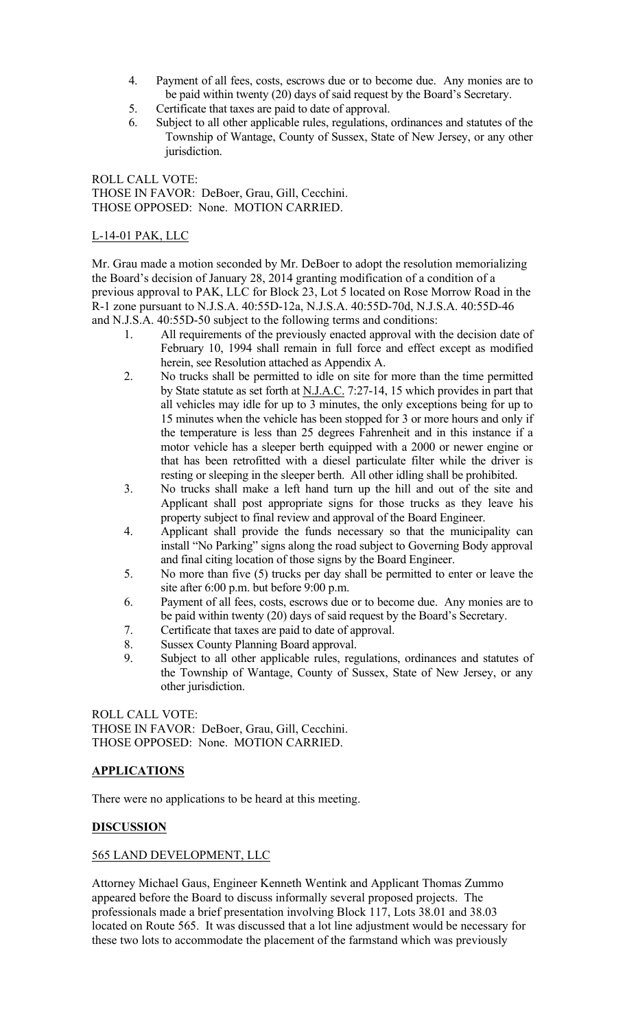- 4. Payment of all fees, costs, escrows due or to become due. Any monies are to be paid within twenty (20) days of said request by the Board's Secretary.
- 5. Certificate that taxes are paid to date of approval.
- 6. Subject to all other applicable rules, regulations, ordinances and statutes of the Township of Wantage, County of Sussex, State of New Jersey, or any other jurisdiction.

ROLL CALL VOTE: THOSE IN FAVOR: DeBoer, Grau, Gill, Cecchini. THOSE OPPOSED: None. MOTION CARRIED.

## L-14-01 PAK, LLC

Mr. Grau made a motion seconded by Mr. DeBoer to adopt the resolution memorializing the Board's decision of January 28, 2014 granting modification of a condition of a previous approval to PAK, LLC for Block 23, Lot 5 located on Rose Morrow Road in the R-1 zone pursuant to N.J.S.A. 40:55D-12a, N.J.S.A. 40:55D-70d, N.J.S.A. 40:55D-46 and N.J.S.A. 40:55D-50 subject to the following terms and conditions:

- 1. All requirements of the previously enacted approval with the decision date of February 10, 1994 shall remain in full force and effect except as modified herein, see Resolution attached as Appendix A.
- 2. No trucks shall be permitted to idle on site for more than the time permitted by State statute as set forth at N.J.A.C. 7:27-14, 15 which provides in part that all vehicles may idle for up to 3 minutes, the only exceptions being for up to 15 minutes when the vehicle has been stopped for 3 or more hours and only if the temperature is less than 25 degrees Fahrenheit and in this instance if a motor vehicle has a sleeper berth equipped with a 2000 or newer engine or that has been retrofitted with a diesel particulate filter while the driver is resting or sleeping in the sleeper berth. All other idling shall be prohibited.
- 3. No trucks shall make a left hand turn up the hill and out of the site and Applicant shall post appropriate signs for those trucks as they leave his property subject to final review and approval of the Board Engineer.
- 4. Applicant shall provide the funds necessary so that the municipality can install "No Parking" signs along the road subject to Governing Body approval and final citing location of those signs by the Board Engineer.
- 5. No more than five (5) trucks per day shall be permitted to enter or leave the site after 6:00 p.m. but before 9:00 p.m.
- 6. Payment of all fees, costs, escrows due or to become due. Any monies are to be paid within twenty (20) days of said request by the Board's Secretary.
- 7. Certificate that taxes are paid to date of approval.
- 8. Sussex County Planning Board approval.
- 9. Subject to all other applicable rules, regulations, ordinances and statutes of the Township of Wantage, County of Sussex, State of New Jersey, or any other jurisdiction.

ROLL CALL VOTE: THOSE IN FAVOR: DeBoer, Grau, Gill, Cecchini. THOSE OPPOSED: None. MOTION CARRIED.

# APPLICATIONS

There were no applications to be heard at this meeting.

# **DISCUSSION**

## 565 LAND DEVELOPMENT, LLC

Attorney Michael Gaus, Engineer Kenneth Wentink and Applicant Thomas Zummo appeared before the Board to discuss informally several proposed projects. The professionals made a brief presentation involving Block 117, Lots 38.01 and 38.03 located on Route 565. It was discussed that a lot line adjustment would be necessary for these two lots to accommodate the placement of the farmstand which was previously